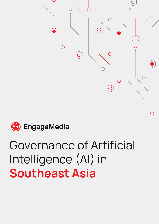



# Governance of Artificial Intelligence (AI) in **Southeast Asia**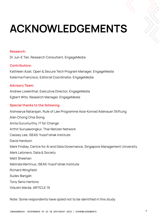# **ACKNOWLEDGEMENTS**

#### **Research:**

Dr Jun-E Tan, Research Consultant, EngageMedia

#### **Contributors:**

Kathleen Azali, Open & Secure Tech Program Manager, EngageMedia Katerina Francisco, Editorial Coordinator, EngageMedia

## **Advisory Team:**

Andrew Lowenthal, Executive Director, EngageMedia Egbert Wits, Research Manager, EngageMedia

## **Special thanks to the following:**

Aishwarya Natarajan, Rule of Law Programme Asia-Konrad Adenauer Stiftung Alan Chong Chia Siong Anita Gurumurthy, IT for Change Arthit Suriyawongkul, Thai Netizen Network Cassey Lee, ISEAS-Yusof Ishak Institute David Hardoon Mark Findlay, Centre for AI and Data Governance, Singapore Management University Mark Latonero, Data & Society Matt Sheehan Melinda Martinus, ISEAS-Yusof Ishak Institute Richard Wingfield Sudev Bangah Tony Seno Hartono Vidushi Marda, ARTICLE 19

Note: Some respondents have opted not to be identified in this study.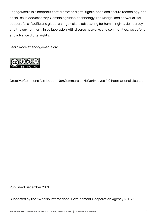EngageMedia is a nonprofit that promotes digital rights, open and secure technology, and social issue documentary. Combining video, technology, knowledge, and networks, we support Asia-Pacific and global changemakers advocating for human rights, democracy, and the environment. In collaboration with diverse networks and communities, we defend and advance digital rights.

Learn more at engagemedia.org.



Creative Commons Attribution-NonCommercial-NoDerivatives 4.0 International License

Published December 2021

Supported by the Swedish International Development Cooperation Agency (SIDA)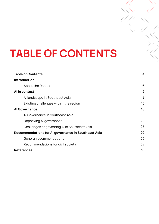# **TABLE OF CONTENTS**

| <b>Table of Contents</b>                            | 4  |  |
|-----------------------------------------------------|----|--|
| Introduction                                        | 5  |  |
| About the Report                                    | 6  |  |
| Al in context                                       | 7  |  |
| Al landscape in Southeast Asia                      | 9  |  |
| Existing challenges within the region               | 13 |  |
| <b>Al Governance</b>                                |    |  |
| Al Governance in Southeast Asia                     | 18 |  |
| Unpacking AI governance                             | 20 |  |
| Challenges of governing AI in Southeast Asia        | 25 |  |
| Recommendations for AI governance in Southeast Asia | 29 |  |
| General recommendations                             | 29 |  |
| Recommendations for civil society                   | 32 |  |
| <b>References</b>                                   | 36 |  |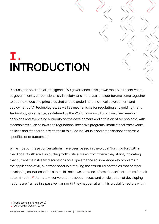## **I. INTRODUCTION**

Discussions on artificial intelligence (AI) governance have grown rapidly in recent years, as governments, corporations, civil society, and multi-stakeholder forums come together to outline values and principles that should underline the ethical development and deployment of AI technologies, as well as mechanisms for regulating and guiding them. Technology governance, as defined by the World Economic Forum, involves 'making decisions and exercising authority on the development and diffusion of technology', with mechanisms such as laws and regulations, incentive programs, institutional frameworks, policies and standards, etc. that aim to guide individuals and organisations towards a specific set of outcomes.<sup>1</sup>

While most of these conversations have been based in the Global North, actors within the Global South are also putting forth critical views from where they stand, indicating that current mainstream discussions on AI governance acknowledge key problems in the application of AI, but stops short in critiquing the structural obstacles that hamper developing countries' efforts to build their own data and information infrastructure for selfdetermination.<sup>2</sup> Ultimately, conversations about access and participation of developing nations are framed in a passive manner (if they happen at all). It is crucial for actors within

<sup>1 (</sup>World Economic Forum, 2019)

<sup>2 (</sup>Gurumurthy & Chami, 2019)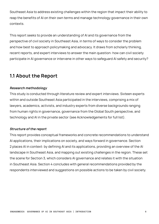Southeast Asia to address existing challenges within the region that impact their ability to reap the benefits of AI on their own terms and manage technology governance in their own contexts.

This report seeks to provide an understanding of AI and its governance from the perspective of civil society in Southeast Asia, in terms of ways to consider the problem and how best to approach policymaking and advocacy. It draws from scholarly thinking, recent reports, and expert interviews to answer the main question: how can civil society participate in AI governance or intervene in other ways to safeguard AI safety and security?

## **1.1 About the Report**

## **Research methodology**

This study is conducted through literature review and expert interviews. Sixteen experts within and outside Southeast Asia participated in the interviews, comprising a mix of lawyers, academics, activists, and industry experts from diverse backgrounds ranging from human rights in governance, governance from the Global South perspective, and technology and AI in the private sector (see Acknowledgements for full list).

## **Structure of the report**

This report provides conceptual frameworks and concrete recommendations to understand AI applications, their implications on society, and ways forward in governance. Section 2 places AI in context: by defining AI and its applications, providing an overview of the AI landscape in Southeast Asia, and mapping out existing challenges in the region. These set the scene for Section 3, which considers AI governance and relates it with the situation in Southeast Asia. Section 4 concludes with general recommendations provided by the respondents interviewed and suggestions on possible actions to be taken by civil society.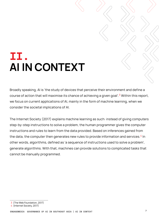## **II. AI IN CONTEXT**

Broadly speaking, AI is 'the study of devices that perceive their environment and define a course of action that will maximise its chance of achieving a given goal'.<sup>3</sup> Within this report, we focus on current applications of AI, mainly in the form of machine learning, when we consider the societal implications of AI.

The Internet Society (2017) explains machine learning as such: instead of giving computers step-by-step instructions to solve a problem, the human programmer gives the computer instructions and rules to learn from the data provided. Based on inferences gained from the data, the computer then generates new rules to provide information and services.<sup>4</sup> In other words, algorithms, defined as 'a sequence of instructions used to solve a problem', generate algorithms. With that, machines can provide solutions to complicated tasks that cannot be manually programmed.

**7 ENGAGEMEDIA GOVERNANCE OF AI IN SOUTHEAST ASIA | AI IN CONTEXT**

<sup>3 (</sup>The Web Foundation, 2017)

<sup>4 (</sup>Internet Society, 2017)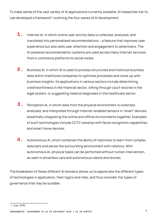To make sense of the vast variety of AI applications currently available, AI researcher Kai-fu Lee developed a framework<sup>5</sup> outlining the four waves of AI development:

- Internet AI, in which online user activity data is collected, analysed, and translated into personalised recommendations – a feature that improves user experience but also sells user attention and engagement to advertisers. The AI-powered recommendation systems are used across many Internet services, from e-commerce platforms to social media. **1.**
- Business AI, in which AI is used to process structured and historical business data within traditional companies to optimise processes and come up with business insights. Its applications in various sectors include determining creditworthiness in the financial sector, sifting through court records in the legal system, or suggesting medical diagnoses in the healthcare sector. **2.**
- Perception AI, in which data from the physical environment is collected, analysed, and interpreted through Internet-enabled sensors in 'smart' devices, essentially integrating the online and offline environments together. Examples of such technologies include CCTV cameras with facial recognition capabilities and smart home devices. **3.**
- Autonomous AI, which combines the ability of machines to learn from complex data sets and sense the surrounding environment with robotics. With autonomous AI, physical tasks can be performed without human intervention, as seen in driverless cars and autonomous robots and drones. **4.**

The breakdown of these different AI domains allows us to appreciate the different types of technologies in application, their logics and risks, and thus consider the types of governance that may be suitable.

<sup>5 (</sup>Lee, 2018)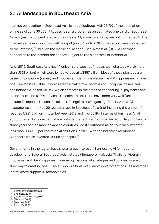## **2.1 AI landscape in Southeast Asia**

Internet penetration in Southeast Asia is not ubiquitous, with 76.7% of the population online as of June 30 2021.<sup>6</sup> Access is still a problem as an estimated one third of Southeast Asians (mainly concentrated in Timor-Leste, Myanmar, and Laos) are not connected to the Internet yet, even though growth is rapid (in 2014, only 25% in the region were connected to the Internet).<sup>7</sup> Through the metric of Facebook use, almost all (91.35%) of those connected to the Internet are already subject to the algorithms of Internet AI.<sup>8</sup>

As of 2019, Southeast Asia has 14 unicorn startups (defined as tech startups worth more than US\$1 billion) which were jointly valued at US\$57 billion. Most of these startups are based in Singapore (seven) and Indonesia (five), while Vietnam and Philippines each have one. The most valuable unicorns are the platform economies of Singapore-based Grab and Indonesia-based Go-Jek, which compete in the areas of ridesharing, e-payments and online-to-offline (O2O) services. E-commerce startups have done very well (unicorns include Tokopedia, Lazada, Bukalapak, Zilingo), as have gaming (SEA, Razer, VNG). Investments on the top 20 tech startups in Southeast Asia (not including the unicorns) reached US\$1.5 billion in total between 2018 and mid-2019.<sup>9</sup> In terms of business AI, AI adoption is still at a nascent stage outside the tech sector, with the region lagging two to three years behind more advanced countries. Most Southeast Asian countries invested less than US\$0.50 per capita on AI solutions in 2019, with the notable exception of Singapore which invested US\$68 per capita.<sup>10</sup>

Governments in the region have shown great interest in harnessing AI for national development. Several Southeast Asian states (Singapore, Malaysia, Thailand, Vietnam, Indonesia, and the Philippines) have set up national AI strategies and policies, or are on their way to creating one.<sup>11</sup> Table 1 shows a brief overview of government policies and other initiatives to support AI technologies.

- 7 (Iwamoto, 2019)
- 8 (Internet World Stats, n.d.)
- 9 (Thomas, 2019)
- 10 (Kearney, 2020)

<sup>6</sup>  (Internet World Stats, n.d.)

<sup>11</sup> (HolonIQ, 2020)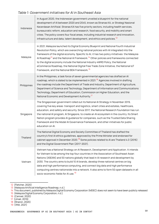#### Table 1: Government initiatives for AI in Southeast Asia $\blacksquare$

| Indonesia   | In August 2020, the Indonesian government unveiled a blueprint for the national<br>development of AI between 2020 and 2045, known as Stranas KA, or Strategi Nasional<br>Kecerdasan Artifisial. Stranas KA has five priority sectors, including health services,<br>bureaucratic reform, education and research, food security, and mobility and smart<br>cities. The policy covers four focal areas, including industrial research and innovation,<br>infrastructure and data, talent development, and ethics and policies. <sup>12</sup>                                                                                                |
|-------------|-------------------------------------------------------------------------------------------------------------------------------------------------------------------------------------------------------------------------------------------------------------------------------------------------------------------------------------------------------------------------------------------------------------------------------------------------------------------------------------------------------------------------------------------------------------------------------------------------------------------------------------------|
| Malaysia    | In 2021, Malaysia launched its Digital Economy Blueprint and National Fourth Industrial<br>Revolution Policy, which are overarching national policies with AI integrated into the<br>framework of the digital economy. Specific to AI, it has two policy initiatives: the Malaysia<br>Al Roadmap <sup>13</sup> and the National Al Framework. <sup>14</sup> Other policies and frameworks connected<br>to the digital economy include the National Industry 4WRD Policy, the National<br>eCommerce Roadmap, the National Digital Free Trade Zone Initiative, the National IoT<br>Framework, and the National BDA Framework. <sup>15</sup> |
| Philippines | In the Philippines, a task force of seven governmental agencies has drafted an Al<br>roadmap, which is slated to be implemented in 2021. <sup>16</sup> Agencies involved in drafting<br>the roadmap include the Department of Trade and Industry, Department of Agriculture,<br>Department of Science and Technology, Department of Information and Communications<br>Technology, Department of Education, Commission on Higher Education, and the<br>National Economic and Development Authority. <sup>17</sup>                                                                                                                          |
| Singapore   | The Singaporean government rolled out its National AI Strategy in November 2019,<br>covering five key areas: transport and logistics, smart cities and estates, healthcare,<br>education, and safety and security. Since 2017, the National Research Foundation has run<br>the national AI program, AI Singapore, to create an AI ecosystem in the country. Its Smart<br>Nation program provides AI guidance for companies, such as the Trusted Data Sharing<br>Framework and the Model AI Governance Framework, and other initiatives for public<br>education on Al.                                                                     |
| Thailand    | The National Digital Economy and Society Committee of Thailand has drafted the<br>country's first AI ethics guidelines, approved by the Prime Minister and endorsed for<br>cabinet approval in December 2020. <sup>18</sup> Some policies related to AI are Thailand 4.0 (2016)<br>and the Digital Government Plan (2017-2021).                                                                                                                                                                                                                                                                                                           |
| Vietnam     | Vietnam has a National Strategy on Al Research, Development and Application. It intends<br>for Vietnam to be among the top four countries in the Association of Southeast Asian<br>Nations (ASEAN) and 50 nations globally that lead in AI research and development by<br>2030. The country aims to build 10 Al brands, develop three national centres on big<br>data and high performance computing, and connect big data and high performance<br>computing centres nationwide into a network. It also aims to form 50 open datasets in all<br>socio-economic fields for Al use. <sup>19</sup>                                           |

12 (Fletcher, 2020)

- 18 (Sharon, 2020)
- 19 (VNA, 2021)

<sup>13 (</sup>Malaysia Artificial Intelligence Roadmap, n.d.)

<sup>14</sup> This document, published by Malaysia Digital Economy Corporation (MDEC) does not seem to have been publicly released

<sup>15 (</sup>Malaysia Digital Economy Corporation, n.d.)

<sup>16 (</sup>Canivel, 2020)

<sup>17 (</sup>Umali, 2019)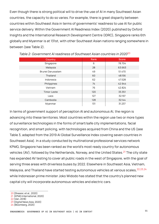Even though there is strong political will to drive the use of AI in many Southeast Asian countries, the capacity to do so varies. For example, there is great disparity between countries within Southeast Asia in terms of governments' readiness to use AI for public service delivery. Within the Government AI Readiness Index (2020) published by Oxford Insights and the International Research Development Centre (IDRC), Singapore ranks 6th globally and Myanmar is at 131st, with other Southeast Asian nations ranging somewhere in between (see Table 2).

| Country           | Rank | Score  |
|-------------------|------|--------|
| Singapore         | 6    | 78.704 |
| Malaysia          | 28   | 63.663 |
| Brunei Darussalam | 49   | 51.470 |
| Thailand          | 60   | 48.156 |
| Indonesia         | 62   | 47.528 |
| Philippines       | 74   | 42.944 |
| Vietnam           | 76   | 42.824 |
| Timor-Leste       | 120  | 33.351 |
| Laos              | 127  | 32.197 |
| Cambodia          | 128  | 32.144 |
| Myanmar           | 131  | 31.237 |

Table 2: Government AI readiness of Southeast Asian countries in 2020<sup>20</sup>

In terms of government support of perception AI and autonomous AI, the region is advancing into these territories. Most countries within the region use two or more types of surveillance technologies in the forms of smart/safe city implementations, facial recognition, and smart policing, with technologies acquired from China and the US (see Table 3, adapted from the 2019 AI Global Surveillance Index covering seven countries in Southeast Asia). In a study conducted by multinational professional services network KPMG, Singapore has been ranked as the world's most ready country for autonomous vehicles (AV), followed by the Netherlands, Norway, and the United States.<sup>21</sup> The city state has expanded AV testing to cover all public roads in the west of Singapore, with the goal of serving three areas with driverless buses by 2022. Elsewhere in Southeast Asia, Vietnam, Malaysia, and Thailand have started testing autonomous vehicles at various scales, <sup>22,23,24</sup> while Indonesian prime minister Joko Widodo has stated that the country's planned new capital city will incorporate autonomous vehicles and electric cars.

- 22 (Van, 2018)
- 23 (Digital News Asia, 2020)

<sup>20</sup>  (Shearer, et al., 2020)

<sup>21</sup> (KPMG International, 2020)

<sup>24</sup>  (Bloomberg, 2020)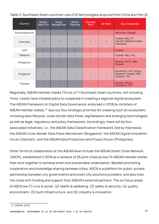Table 3: Southeast Asian countries' use of AI technologies acquired from China and the US

| Country       | Smart/<br>Safe City | Facial<br>Recognition | <b>Smart</b><br>Policing | <b>Chinese</b><br>Tech | US Tech | <b>Key Companies</b>                                               |
|---------------|---------------------|-----------------------|--------------------------|------------------------|---------|--------------------------------------------------------------------|
| Burma/Myanmar |                     |                       |                          |                        |         | Hikivision, Huawei                                                 |
| Indonesia     |                     |                       |                          |                        |         | Huawei, NEC, PT<br>Industri Telekomunikasi<br>Indonesia            |
| Laos          |                     |                       |                          |                        |         | Huawei                                                             |
| Malaysia      |                     |                       |                          |                        |         | Huawei, NEC, Yitu                                                  |
| Philippines   |                     |                       |                          |                        |         | Boeing, CITCC, IBM,<br>Huawei                                      |
| Singapore     |                     |                       |                          |                        |         | Accenture, AGT, Airbus,<br>Dassault, Huawei, NEC,<br>Tascent, Yitu |
| Thailand      |                     |                       |                          |                        |         | Huawei, Megvii,<br>Panasonic, ZTE                                  |

Regionally, ASEAN member states (10 out of 11 Southeast Asian countries, not including Timor-Leste) have initiated plans to cooperate in creating a regional digital ecosystem. The ASEAN Framework on Digital Data Governance, endorsed in 2018 by ministers of ASEAN member states,  $25$  lays out four strategic priorities for creating such an ecosystem, including data lifecycle, cross-border data flows, digitalisation and emerging technologies, as well as legal, regulatory, and policy frameworks. Accordingly, there will be four associated initiatives, i.e., the ASEAN Data Classification Framework (led by Indonesia); the ASEAN Cross-Border Data Flows Mechanism (Singapore); the ASEAN Digital Innovation Forum (Vietnam); and the ASEAN Data Protection and Privacy Forum (Philippines).

Other forms of collaboration at the ASEAN level include the ASEAN Smart Cities Network (ASCN), established in 2018 as a network of 26 pilot cities across 10 ASEAN member states that work together to achieve smart and sustainable urbanisation. Besides promoting cooperation and knowledge sharing between cities, ASCN is a platform for public-private partnership between city governments and smart city solutions providers, and also links the cities with funding and support from ASEAN's external partners. The six focus areas of ASCN are (1) civic & social, (2) health & wellbeing, (3) safety & security, (4) quality environment, (5) built infrastructure, and (6) industry & innovation.

**12 ENGAGEMEDIA GOVERNANCE OF AI IN SOUTHEAST ASIA | AI IN CONTEXT**

<sup>25 (</sup>ASEAN, 2012)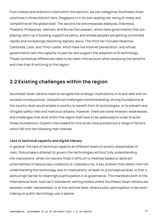From indices and statistics cited within this section, we can categorise Southeast Asian countries in three distinct tiers. Singapore is in its own leading tier, being AI-ready and competitive at the global level. The second tier encompasses Malaysia, Indonesia, Thailand, Philippines, Vietnam, and Brunei Darussalam, which have governments that are playing catch up in building supportive policy, and whose peoples are getting connected rapidly and increasingly becoming digitally savvy. The third tier includes Myanmar, Cambodia, Laos, and Timor-Leste, which have low Internet penetration, and whose governments lack the capacity to plan for and support the adoption of AI technology. These contextual differences need to be taken into account when analysing the benefits and risks that AI will bring to the region.

## **2.2 Existing challenges within the region**

Southeast Asian nations need to navigate the strategic implications of AI and deal with its societal consequences. Geopolitical challenges notwithstanding, strong foundations at the country level would enable a country to benefit from AI technologies, or to prevent and mitigate safety risks and malicious attacks. However, there are some inherent weaknesses and challenges that exist within the region that have to be addressed in order to build these foundations. Experts interviewed for this study have pointed out a range of factors, which fall into the following main themes:

#### **Lack of technical capacity and digital literacy**

In general, the lack of technical capacity at different levels of society exacerbates AI risks. Policymakers attempt to govern the technologies without fully understanding the implications, while civil society finds it difficult to mobilise based on abstract potentialities of data privacy violations or cybersecurity. A key problem that stems from not understanding the technology and its implications, at least on a conceptual level, is that it adds a high barrier to meaningful participation in AI governance. This manifests both in the international level, such as in standards-setting bodies where Southeast Asian nations are severely under-represented, or at the national level, where public participation in decisionmaking on public technology use is sparse.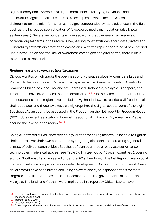Digital literacy and awareness of digital harms help in fortifying individuals and communities against malicious uses of AI, examples of which include AI-assisted disinformation and misinformation campaigns compounded by rapid advances in the field, such as the increased sophistication of AI-powered media manipulation (also known as deepfakes). Several respondents expressed worry that the level of awareness of potential digital harms in the region is low, leading to lax attitudes about data privacy and vulnerability towards disinformation campaigns. With the rapid onboarding of new Internet users in the region and the lack of awareness campaigns of digital harms, there is little resistance to these risks.

#### **Regimes leaning towards authoritarianism**

Civicus Monitor, which tracks the openness of civic spaces globally, considers Laos and Vietnam to be countries with 'closed' civic spaces, while Brunei Darussalam, Cambodia, Myanmar, Philippines, and Thailand are 'repressed'. Indonesia, Malaysia, Singapore, and Timor-Leste have civic spaces that are 'obstructed'.<sup>26,27</sup> In the name of national security, most countries in the region have applied heavy-handed laws to restrict civil freedoms of their populace, and these laws have slowly crept into the digital space. None of the eight Southeast Asian countries assessed in the Freedom on the Net report by Freedom House (2021) obtained a 'free' status in Internet freedom, with Thailand, Myanmar, and Vietnam scoring the lowest in the region.<sup>28,29</sup>

Using AI-powered surveillance technology, authoritarian regimes would be able to tighten their control over their own populations by targeting dissidents and creating a general climate of self-censorship. Most Southeast Asian countries already use surveillance technologies in physical spaces (see Table 3). Thirteen out of 15 Asian countries (covering eight in Southeast Asia) assessed under the 2019 Freedom on the Net Report have a social media surveillance program in use or under development. On top of that, Southeast Asian governments have been buying and using spyware and cyberespionage tools for more targeted surveillance. For example, in December 2020, the governments of Indonesia, Malaysia, Thailand, and Vietnam were implicated in a report by Citizen Lab to have

<sup>26</sup> There are five levels to Civicus' classification: open, narrowed, obstructed, repressed, and closed, in the order from the most open to the least.

<sup>27 (</sup>Barreto, et al., 2020)

<sup>28 (</sup>Freedom House, 2021)

<sup>29</sup> The ratings are calculated by indicators on obstacles to access, limits on content, and violations of user rights.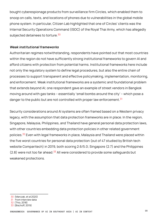bought cyberespionage products from surveillance firm Circles, which enabled them to snoop on calls, texts, and locations of phones due to vulnerabilities in the global mobile phone system. In particular, Citizen Lab highlighted that one of Circles' clients was the Internal Security Operations Command (ISOC) of the Royal Thai Army, which has allegedly subjected detainees to torture.<sup>30</sup>

## **Weak institutional frameworks**

Authoritarian regimes notwithstanding, respondents have pointed out that most countries within the region do not have sufficiently strong institutional frameworks to govern AI and afford citizens with protection from potential harms. Institutional frameworks here include not only the regulatory system to define legal procedures, but also the entire chain of processes to support transparent and effective policymaking, implementation, monitoring, and enforcement. Weak institutional frameworks are a systemic and foundational problem that extends beyond AI; one respondent gave an example of street vendors in Bangkok moving around with gas tanks – essentially 'small bombs around the city' – which pose a danger to the public but are not controlled with proper law enforcement. $31$ 

Security considerations around AI systems are often framed based on a Western privacy legacy, with the assumption that data protection frameworks are in place. In the region, Singapore, Malaysia, Philippines, and Thailand have general personal data protection laws, with other countries embedding data protection policies in other related government policies.<sup>32</sup> Even with legal frameworks in place, Malaysia and Thailand were placed within the five worst countries for personal data protection (out of 47 studied by British tech website Comparitech) in 2019, both scoring 2.6/5.0; Singapore (2.7) and the Philippines  $(2.8)$  were not too far ahead.<sup>33</sup> All were considered to provide some safeguards but weakened protections.

<sup>30 (</sup>Marczak, et al 2020)

<sup>31</sup> From interview data

<sup>32 (</sup>Thio, 2018)

<sup>33 (</sup>Bischoff, 2019)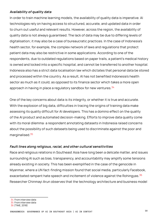## **Availability of quality data**

In order to train machine learning models, the availability of quality data is imperative. AI technologies rely on having access to structured, accurate, and updated data in order to churn out useful and relevant results. However, across the region, the availability of quality data is not always guaranteed. The lack of data may be due to differing levels of digitalisation; it may also be a case of bureaucratic practices. In the case of Indonesia's health sector, for example, the complex network of laws and regulations that protect patient data may also be restrictive in some applications. According to one of the respondents, due to outdated regulations based on paper trails, a patient's medical history is owned and locked into a specific hospital, and cannot be transferred to another hospital. Indonesia also has a strict data localisation law which dictates that personal data be stored and processed within the country. As a result, AI has not benefited Indonesia's health sector as much as it could, as opposed to its finance sector which takes a more open approach in having in place a regulatory sandbox for new ventures.  $34$ 

One of the key concerns about data is its integrity, or whether it is true and accurate. With the explosion of big data, difficulties in tracing the origins of training data make assessing its quality difficult for AI developers. This has a domino effect on the quality of the AI product and automated decision-making. Efforts to improve data quality come with its moral dilemma: a respondent annotating datasets in Indonesia raised concerns about the possibility of such datasets being used to discriminate against the poor and marginalised.<sup>35</sup>

## **Fault lines along religious, racial, and other cultural sensitivities**

Race and religious relations in Southeast Asia have long been a delicate matter, and issues surrounding AI such as bias, transparency, and accountability may amplify some tensions already existing in society. This has been exemplified in the case of the genocide in Myanmar, where a UN fact-finding mission found that social media, particularly Facebook, exacerbated rampant hate speech and incitement of violence against the Rohingyas.<sup>36</sup> Researcher Chinmayi Arun observes that the technology architecture and business model

- 34 From interview data
- 35 From interview data

<sup>36 (</sup>TIME, 2018)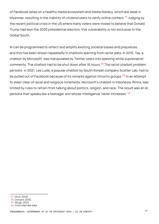of Facebook relies on a healthy media ecosystem and media literacy, which are weak in Myanmar, resulting in the inability of citizens/users to verify online content.<sup>37</sup> Judging by the recent political crisis in the US where many voters were misled to believe that Donald Trump had won the 2020 presidential election, this vulnerability is not exclusive to the Global South.

AI can be programmed to reflect and amplify existing societal biases and prejudices, and this has been shown repeatedly in chatbots learning from racist data. In 2016, Tay, a chatbot by Microsoft, was manipulated by Twitter users into spewing white supremacist comments. The chatbot had to be shut down after 16 hours.<sup>38</sup> The racist chatbot problem persists: in 2021, Lee Luda, a popular chatbot by South Korean company Scatter Lab, had to be pulled out of Facebook because of its remarks against minority groups.<sup>39</sup> In an attempt to steer clear of racial and religious minefields, Microsoft's chatbot in Indonesia, Rinna, was limited by rules to refrain from talking about politics, religion, and race. The result was an AI persona that speaks like a teenager and whose intelligence 'never increases'.<sup>40</sup>

<sup>37 (</sup>Arun, 2019)

<sup>38 (</sup>Vincent, 2016)

<sup>39 (</sup>Singh, 2021)

<sup>40</sup> From interview data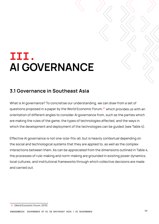## **III. AI GOVERNANCE**

## **3.1 Governance in Southeast Asia**

What is AI governance? To concretise our understanding, we can draw from a set of questions proposed in a paper by the World Economic Forum,  $41$  which provides us with an orientation of different angles to consider AI governance from, such as the parties which are making the rules of the game, the types of technologies affected, and the ways in which the development and deployment of the technologies can be guided (see Table 4).

Effective AI governance is not one-size-fits-all, but is heavily contextual depending on the social and technological systems that they are applied to, as well as the complex interactions between them. As can be appreciated from the dimensions outlined in Table 4, the processes of rule-making and norm-making are grounded in existing power dynamics, local cultures, and institutional frameworks through which collective decisions are made and carried out.

<sup>41 (</sup>World Economic Forum, 2019)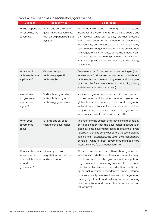| Question                                                                          | Boils down to                                                                                   | Elaboration                                                                                                                                                                                                                                                                                                                                                                                                                                                                                                                |
|-----------------------------------------------------------------------------------|-------------------------------------------------------------------------------------------------|----------------------------------------------------------------------------------------------------------------------------------------------------------------------------------------------------------------------------------------------------------------------------------------------------------------------------------------------------------------------------------------------------------------------------------------------------------------------------------------------------------------------------|
| Who is responsible<br>for, or doing, the<br>governing?                            | Public and private sector<br>governance mechanisms,<br>with participation from civil<br>society | The three main forces in creating rules, norms, and<br>incentives are governments, the private sector, and<br>civil society. While civil society provides pressure<br>and collaboration in the creation of governance<br>mechanisms, governments and the industry usually<br>have a much stronger role - governments provide legal<br>and regulatory instruments, while the industry can<br>have a strong role in creating standards. Usually there<br>is a mix of public and private sectors in technology<br>governance. |
| What set of<br>technologies are<br>implicated?                                    | Cross-cutting and<br>technology specific<br>technologies                                        | Governance can focus on specific technologies (such<br>as standards for driverless cars) or cut across different<br>technologies with overarching rules and principles<br>(such as rules for environmental sustainability, privacy<br>and data-sharing standards, etc.)                                                                                                                                                                                                                                                    |
| In what ways<br>are governance<br>approaches<br>aligned?                          | Vertically integrated or<br>horizontally integrated<br>technology governance                    | Vertical integration ensures that different layers of<br>decision-makers at the local, national, regional, and<br>global levels are coherent. Horizontal integration<br>looks at policy alignment across ministries, sectors,<br>or jurisdictions to make sure that governance<br>mechanisms do not conflict with each other.                                                                                                                                                                                              |
| When does<br>governance<br>occur?                                                 | Ex-ante and ex-post<br>technology governance                                                    | This refers to the point in the lifecycle of a technology<br>or its application that the governance measure is in<br>place. Ex-ante governance seeks to prevent or avoid<br>risks by influencing behaviour before the technology is<br>applied (e.g., risk analysis, the use of the precautionary<br>principle), while ex-post governance manages risks<br>after they arise (e.g., product liability).                                                                                                                     |
| What mechanisms<br>incentivise or<br>drive collaboration<br>around<br>governance? | Hierarchy, networks,<br>negotiation, competition,<br>and cooperation                            | These are useful models to think about governance<br>mechanisms, whether in terms of hierarchy (e.g.,<br>top-down rules by the government), competition<br>(e.g., companies competing in markets), networks<br>(non-hierarchical modes of coordination constituted<br>by mutual resource dependencies and/or informal<br>norms of equality among actors involved), negotiation<br>(managing interests and building consensus among<br>different actors), and cooperation (coordination and<br>voluntarism).                |

## Table 4: Perspectives in technology governance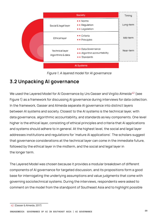

Figure 1. A layered model for AI governance

## **3.2 Unpacking AI governance**

We used the Layered Model for AI Governance by Urs Gasser and Virgilio Almeida<sup>42</sup> (see Figure 1) as a framework for discussing AI governance during interviews for data collection. In the framework, Gasser and Almeida separate AI governance into distinct layers between AI systems and society. Closest to the AI systems is the technical layer, with data governance, algorithmic accountability, and standards as key components. One level higher is the ethical layer, consisting of ethical principles and criteria that AI applications and systems should adhere to in general. At the highest level, the social and legal layer addresses institutions and regulations for 'mature AI applications'. The scholars suggest that governance considerations at the technical layer can come in the immediate future, followed by the ethical layer in the midterm, and the social and legal layer in the longer term.

The Layered Model was chosen because it provides a modular breakdown of different components of AI governance for targeted discussion, and its propositions form a good base for interrogating the underlying assumptions and value judgments that come with governing sociotechnical systems. During the interviews, respondents were asked to comment on the model from the standpoint of Southeast Asia and to highlight possible

**20 ENGAGEMEDIA GOVERNANCE OF AI IN SOUTHEAST ASIA | AI GOVERNANCE**

<sup>42 (</sup>Gasser & Almeida, 2017)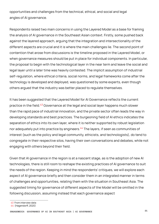opportunities and challenges from the technical, ethical, and social and legal angles of AI governance.

Respondents raised two main concerns in using the Layered Model as a base for framing the analysis of AI governance in the Southeast Asian context. Firstly, some pushed back against the layered approach, arguing that the integration and intersectionality of the different aspects are crucial and it is where the main challenges lie. The second point of contention that arose from discussions is the timeline proposed in the Layered Model, or when governance measures should be put in place for individual components. In particular, the proposal to begin with the technological layer in the near term and leave the social and legal layer until a later time was heavily contested. The implicit assumption of industrial self-regulation, where ethical criteria, social norms, and legal frameworks come after the technology is developed and deployed, was questioned by some experts, even though others argued that the industry was better placed to regulate themselves.

It has been suggested that the Layered Model for AI Governance reflects the current practice in the field.<sup>43</sup> Governance at the legal and social layer happens much slower than the rapid pace of industrial innovation, and the private sector often leads the way in developing standards and best practices. The burgeoning field of AI ethics indicates the separation of ethics into its own layer, where it is neither supported by robust legislation nor adequately put into practice by engineers.<sup>44</sup> The layers, if seen as communities of interest (such as the policy and legal community, ethicists, and technologists), do tend to congregate in their respective silos, having their own conversations and debates, while not engaging with others beyond their field.

Given that AI governance in the region is at a nascent stage, as is the adoption of new AI technologies, there is still room to reshape the existing practices of AI governance to suit the needs of the region. Keeping in mind the respondents' critiques, we will explore each aspect of AI governance briefly and then consider them in an integrated manner in terms of challenges and opportunities, relating them with the situation in Southeast Asia. The suggested timing for governance of different aspects of the Model will be omitted in the following discussion, assuming instead that each governance aspect

<sup>43</sup> From interview data

<sup>44 (</sup>Hagendorff, 2020)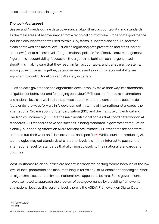holds equal importance in urgency.

#### **The technical aspect**

Gasser and Almeida outline data governance, algorithmic accountability, and standards as the main areas of AI governance from a technical point of view. Proper data governance includes ensuring that data used to train AI systems is updated and secure, and that it can be viewed at a macro level (such as regulating data protection and cross-border data flows), or at a micro level of organisational policies for effective data management. Algorithmic accountability focuses on the algorithms behind machine-generated algorithms, making sure that they result in fair, accountable, and transparent systems, among other criteria. Together, data governance and algorithmic accountability are important to control for AI bias and AI safety in general.

Rules on data governance and algorithmic accountability make their way into standards, or 'quides for behaviour and for judging behaviour'.<sup>45</sup> These are formed at international and national levels as well as in the private sector, where the conventions become de facto or de jure ways forward in AI development. In terms of international standards, the International Organisation for Standardisation (ISO) and the Institute of Electrical and Electronics Engineers (IEEE) are the main institutional bodies that coordinate work on AI standards. ISO standards have had success in being mandated in government regulation globally, but ongoing efforts on AI are few and preliminary; IEEE standards are not stateenforced but their work on AI is more varied and specific.<sup>46</sup> While countries producing AI technologies may set standards at a national level, it is in their interest to push at the international level for standards that align most closely to their national standards and priorities.

Most Southeast Asian countries are absent in standards-setting forums because of the low level of local production and manufacturing in terms of AI or AI-enabled technologies. Work on algorithmic accountability at a national level appears to be rare. Some governments have attempted to approach the problem of data governance by providing frameworks at a national level; at the regional level, there is the ASEAN Framework on Digital Data

**22 ENGAGEMEDIA GOVERNANCE OF AI IN SOUTHEAST ASIA | AI GOVERNANCE**

<sup>45 (</sup>Cihon, 2019)

<sup>46</sup> ibid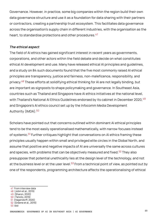Governance. However, in practice, some big companies within the region build their own data governance structure and use it as a foundation for data sharing with their partners or contractors, creating a partnership trust ecosystem. This facilitates data governance across the organisation's supply chain in different industries, with the organisation as the heart, to standardise protections and other procedures.<sup>47</sup>

#### **The ethical aspect**

The field of AI ethics has gained significant interest in recent years as governments, corporations, and other actors within the field debate and decide on what constitutes ethical AI development and use. Many have released ethical AI principles and guidelines, and a study on 84 such documents found that the five most commonly raised AI ethical principles are transparency, justice and fairness, non-maleficence, responsibility, and privacy.<sup>48</sup> These efforts at solidifying ethical thinking for AI are not legally binding, but are important as signposts to shape policymaking and governance. In Southeast Asia, countries such as Thailand and Singapore have AI ethics initiatives at the national level, with Thailand's National AI Ethics Guidelines endorsed by its cabinet in December 2020, <sup>49</sup> and Singapore's AI ethics council set up by the Infocomm Media Development Authority (IMDA).<sup>50</sup>

Scholars have pointed out that concerns outlined within dominant AI ethical principles tend to be the most easily operationalised mathematically, with narrow focuses instead of systemic.<sup>51</sup> Further critiques highlight that conversations on AI ethics framing these principles usually happen within small and privileged elite circles in the Global North, and assume that positive and negative impacts of AI are universally the same across cultures and species, with problems that can be objectively measured and fixed.<sup>52</sup> They also presuppose that potential unethicality lies at the design level of the technology, and not at the business level or at the user level. $53$  From a technical point of view, as pointed out by one of the respondents, programming architecture affects the operationalising of ethical

- 51 (Hagendorff, 2020)
- 52 (Greene et al., 2019)
- 53 ibid

<sup>47</sup> From interview data

<sup>48 (</sup>Jobin et al., 2019) 49 (Sharon, 2020)

<sup>50 (</sup>Tanoto, 2019)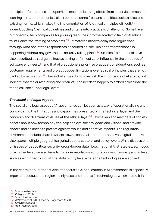principles – for instance, unsupervised machine learning differs from supervised machine learning in that the former is a black box that learns from and amplifies societal bias and existing norms, which makes the implementation of AI ethical principles difficult.<sup>54</sup> Indeed, putting AI ethical guidelines and criteria into practice is challenging. Some have criticised big tech companies for pouring resources into the academic field of AI ethics to influence the framing of problems,<sup>55</sup> ultimately aiming to delay hard regulations through what one of the respondents described as 'the illusion that governance is happening without any governance actually taking place'.<sup>56</sup> Studies from the field have also described ethical guidelines as having an 'almost zero' influence in the practices of software engineers, <sup>57</sup> and that AI practitioners prioritise practical considerations such as customer requirements and project budget limitations over ethical principles that are not backed by legislation.<sup>58</sup> These challenges do not diminish the importance of AI ethics, but indicate that major rethinking and restructuring needs to happen to embed ethics into the technical, social, and legal layers.

#### **The social and legal aspect**

The social and legal aspect of AI governance can be seen as a way of operationalising and consolidating the limitations and capabilities presented at the technical layer and the concerns and dilemmas of AI use at the ethical layer.<sup>59</sup> Lawmakers and members of society debate about how technology can help achieve societal goals and visions, and provide checks and balances to protect against misuse and negative impacts. The regulatory environment includes hard laws, soft laws, technical standards, and even digital literacy; it also spans multiple geographical jurisdictions, sectors, and policy levels. While discussions on issues of geopolitical security, cross-border data flows, national AI strategies, etc. focus on a higher level, we also have to consider regulatory actions on a much more granular level, such as within sectors or at the state or city level where the technologies are applied.

In the context of Southeast Asia, the focus on AI applications in AI governance is especially important because the region mainly uses and imports AI technologies which are built in

57 McNamara et al. (2018) cited by (Hagendorff, 2020)

<sup>54</sup> From interview data

<sup>55 (</sup>Ochigame, 2019)

<sup>56</sup> From interview data

<sup>58 (</sup>Orr & Davis, 2020)

<sup>59</sup> From interview data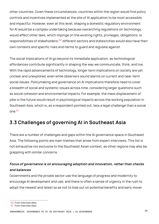other countries. Given these circumstances, countries within the region would find policy controls and incentives implemented at the site of AI application to be most accessible and impactful. However, even at this level, shaping a domestic regulatory environment for AI would be a complex undertaking because overarching regulations on technology would affect other laws, which impinge on the existing rights, privileges, obligations, or responsibilities of stakeholders;<sup>60</sup> different sectors and states/cities would also have their own contexts and specific risks and harms to guard and regulate against.

The social implications of AI go beyond its immediate application, as technological affordances contribute significantly in shaping the way we communicate, think, and live. With the rapid advancements of technology, longer term implications on society are yet unclear and unexplored, even while observers sound alarms on current and near-term social issues. Policymaking and governance on AI implications therefore need to cover a breadth of social and systemic issues across time, considering larger questions such as social cohesion and environmental impacts. For example, the mass displacement of jobs in the future would result in psychological impacts across the working population in Southeast Asia, which is, as a respondent pointed out, less a legal challenge than a social one.<sup>61</sup>

## **3.3 Challenges of governing AI in Southeast Asia**

There are a number of challenges and gaps within the AI governance space in Southeast Asia. The following points are main themes that arose from expert interviews. This list is not exhaustive nor exclusive to the Southeast Asian context, as other regions may also be grappling with similar concerns.

## **Focus of governance is on encouraging adoption and innovation, rather than checks and balances**

Governments and the private sector use the language of progress and modernity to encourage AI development and use, and there is often a sense of urgency in the rush to adopt the newest and latest so as not to lose out on potential benefits and early mover

<sup>60</sup> From interview data

<sup>61</sup> From interview data

**<sup>25</sup> ENGAGEMEDIA GOVERNANCE OF AI IN SOUTHEAST ASIA | AI GOVERNANCE**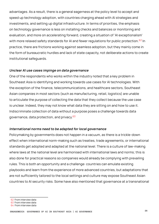advantages. As a result, there is a general eagerness at the policy level to accept and speed up technology adoption, with countries charging ahead with AI strategies and investments, and setting up digital infrastructure. In terms of priorities, the emphasis on technology governance is less on installing checks and balances or monitoring and evaluation, and more on accelerating forward, creating a situation of 'AI exceptionalism' with more relaxed safety standards for AI and fewer regulations for public protection.<sup>62</sup> In practice, there are frictions working against seamless adoption, but they mainly come in the form of bureaucratic hurdles and lack of state capacity, not deliberate actions to create institutional safeguards.

## **Unclear AI use cases impinge on data governance**

One of the respondents who works within the industry noted that a key problem in Southeast Asia is identifying and working towards use cases for AI technologies. With the exception of the finance, telecommunications, and healthcare sectors, Southeast Asian companies in most sectors (such as manufacturing, retail, logistics) are unable to articulate the purpose of collecting the data that they collect because the use case is unclear. Indeed, they may not know what data they are sitting on and how to use it. Indiscriminate collection of data without a purpose poses a challenge towards data governance, data protection, and privacy.<sup>63</sup>

## **International norms need to be adapted for local governance**

Policymaking by governments does not happen in a vacuum, as there is a trickle-down effect when international norm-making such as treaties, trade agreements, or international standards get adopted and adapted at the national level. There is a culture of law-making where laws at the national level are harmonised with international laws and norms; this is also done for practical reasons so companies would already be complying with prevailing rules. This is both an opportunity and a challenge: countries can emulate existing playbooks and learn from the experience of more advanced countries, but adaptations that are not sufficiently tailored to the local settings and culture may expose Southeast Asian countries to AI security risks. Some have also mentioned that governance at a transnational

- 62 From interview data
- 63 From interview data
- 64 From interview data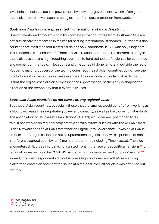level helps to balance out the powers held by individual governments which often grant themselves more power, such as being exempt from data protection frameworks. <sup>64</sup>

## **Southeast Asia is under-represented in international standards-setting**

One oft-mentioned problem within this context is that countries from Southeast Asia are not sufficiently represented in forums for setting international standards. Southeast Asian countries are mostly absent from discussions on AI standards in ISO, with only Singapore in attendance as an observer.  $65$  There are valid reasons for this, as the barriers to entry in these discussions are high, requiring countries to fund trained professionals for sustained engagement on the topic, in locations and time zones (if done remotely) outside the region. Not being major producers of the technologies, Southeast Asian countries do not see the point of investing resources in these avenues. The downside of this lack of participation is that the region loses out on a key aspect of AI governance, particularly in shaping the direction of the technology that it eventually uses.

## **Southeast Asian countries do not have a strong regional voice**

Southeast Asian countries, especially those that are smaller, would benefit from working as a bloc to increase their negotiating power and capacity, as well as build common standards. The Association of Southeast Asian Nations (ASEAN) would be well-positioned to do this; it has worked on regional projects to a certain extent, such as with the ASEAN Smart Cities Network and the ASEAN Framework on Digital Data Governance. However, ASEAN is an inter-state organisation and not a supranational organisation, with a principle of noninterference agreed upon by its 10 member states (not including Timor-Leste). The bloc encounters difficulties in organising a united front in the face of geopolitical tensions<sup>66</sup> or regional issues such as the COVID-19 pandemic, Rohingya crisis, and coup in Myanmar.<sup>67</sup> Indeed, interview respondents did not express high confidence in ASEAN as a strong platform to champion and fight for issues at a regional level, although it was not ruled out entirely.

65 From interview data 66 (Ho, 2020)

<sup>67</sup>  (Al Jazeera, 2020)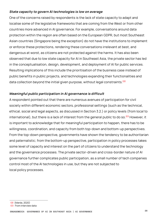## **State capacity to govern AI technologies is low on average**

One of the concerns raised by respondents is the lack of state capacity to adapt and localise some of the legislative frameworks that are coming from the West or from other countries more advanced in AI governance. For example, conversations around data protection within the region are often based on the European GDPR, but most Southeast Asian countries (Singapore being the exception) do not have the institutions to implement or enforce these protections, rendering these conversations irrelevant at best, and dangerous at worst, as citizens are not protected against the harms. It has also been observed that due to low state capacity for AI in Southeast Asia, the private sector has led in the conceptualisation, design, development, and deployment of AI for public services. Resulting implications of this include the prioritisation of the business case instead of public benefits in public projects, and technologies expanding their functionalities and data collection beyond the initial given purpose, without legal constraints.  $68$ 

## **Meaningful public participation in AI governance is difficult**

A respondent pointed out that there are numerous avenues of participation for civil society within different economic sectors, professional settings (such as the technical, ethical, social and legal aspects, as discussed in Section 3.2.) or policy levels (from local to international), but there is a lack of interest from the general public to do so.<sup>69</sup> However, it is important to acknowledge that for meaningful participation to happen, there has to be willingness, coordination, and capacity from both top-down and bottom-up perspectives. From the top-down perspective, governments have shown the tendency to be authoritarian and paternalistic; from the bottom-up perspective, participation in policy processes takes some level of capacity and interest on the part of citizens to understand the technology and the governance processes. The private sector-driven and cross-border nature of AI governance further complicates public participation, as a small number of tech companies control most of the AI technologies in use, but they are not subjected to local policy processes.

<sup>68 (</sup>Marda, 2020)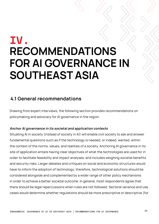## **IV. RECOMMENDATIONS FOR AI GOVERNANCE IN SOUTHEAST ASIA**

## **4.1 General recommendations**

Drawing from expert interviews, the following section provides recommendations on policymaking and advocacy for AI governance in the region.

## **Anchor AI governance in its societal and application contexts**

Situating AI in society (instead of society in AI) will enable civil society to ask and answer fundamental questions such as if the technology is needed, or indeed, wanted, within the context of the norms, values, and realities of a society. Anchoring AI governance in its site of application entails having clear objectives of what the technologies are used for in order to facilitate feasibility and impact analyses, and includes weighing societal benefits and security risks. Larger debates and critiques on social and economic structures would have to inform the adoption of technology; therefore, technological solutions should be considered alongside and complemented by a wider range of other policy mechanisms in order to achieve a better societal outcome. In general, most respondents agree that there should be legal repercussions when rules are not followed. Sectoral variance and use cases would determine whether regulations should be more prescriptive or descriptive (for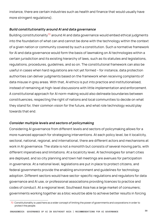instance, there are certain industries such as health and finance that would usually have more stringent regulations).

## **Build constitutionality around AI and data governance**

Building constitutionality<sup>70</sup> around AI and data governance would embed ethical judgments into the foundation of what can and cannot be done with the technology within the context of a given nation or community covered by such a constitution. Such a normative framework for AI and data governance would form the basis of lawmaking on AI technologies within a certain jurisdiction and its existing hierarchy of laws, such as its statutes and legislations, regulations, procedures, guidelines, and so on. The constitutional framework can also be useful in cases when hard regulations are not yet formed – for instance, data protection authorities can deliver judgments based on the framework when receiving complaints of data misuse in grey areas. With that, AI ethics is put into practice and institutionalised, instead of remaining at high-level discussions with little implementation and enforcement. A constitutional approach for AI norm-making would also delineate boundaries between constituencies, respecting the right of nations and local communities to decide on what they stand for, their common vision for the future, and what role technology would play towards that end.

## **Consider multiple levels and sectors of policymaking**

Considering AI governance from different levels and sectors of policymaking allows for a more nuanced approach for strategising interventions. At each policy level, be it local/city, sectoral, national, regional, and international, there are different actors and mechanisms at work in AI governance. The state is not a monolith but consists of several moving parts, with different imperatives and limitations. At a local/city level, AI technologies for smart cities are deployed, and so city planning and town hall meetings are avenues for participation in governance. At a national level, legislations are put in place to protect citizens, and federal governments provide the enabling environment and guidelines for technology adoption. Different sectors would have sector-specific regulations and regulators for data governance and AI use, or professional associations providing licences to practice and codes of conduct. At a regional level, Southeast Asia has a large market of consumers; governments working together as a bloc would be able to achieve better results in forcing

<sup>70</sup> Constitutionality is used here as a wider concept of limiting the power of governments and corporations in order to protect the people.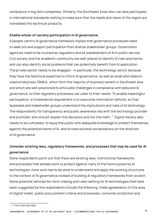compliance in big tech companies. Similarly, the Southeast Asian bloc can also participate in international standards-setting to make sure that the needs and views of the region are translated into technical products.

## **Enable whole-of-society participation in AI governance**

A people-centric AI governance framework implies that governance processes need to seek out and support participation from diverse stakeholder groups. Government agencies need to be involved as regulators and as implementers of AI in public service. Civil society and the academic community are well-placed to identify AI risks and harms, and can also identify social problems that can potentially benefit from AI application. The private sector needs to be engaged – in particular, the technology sector because they have the technical expertise to inform AI governance, as well as small and mediumsized enterprises (SMEs), which form the majority of business owners in Southeast Asia and which are well-positioned to articulate challenges in compliance with data and AI governance, so that regulatory processes can cater to their needs. To enable meaningful participation, a fundamental requirement is to overcome information deficits, so that laypeople and stakeholder groups understand the implications and risks of AI technology. The responsibility for transparency and public awareness lies with the technology provider and promoter, who should 'explain the decisions and not the math'.<sup>71</sup> Digital literacy also needs to be cultivated, to equip the public with adequate knowledge to protect themselves against the potential harms of AI, and to have societal conversations on the direction of AI governance.

## **Consider existing laws, regulatory frameworks, and processes that may be used for AI governance**

Some respondents point out that there are existing laws, institutional frameworks and processes that already work to protect against many of the harms posed by AI technologies; more work has to be done to understand and apply the existing structures to the context of AI governance instead of building AI regulatory frameworks from scratch. Some potential vehicles for norm-making and rules-setting for AI technologies that have been suggested by the respondents include the following: trade agreements (in the area of digital trade); public procurement criteria and processes; consumer protection and

<sup>71</sup> From interview data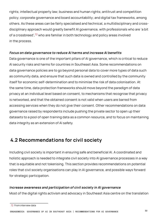rights; intellectual property law; business and human rights; antitrust and competition policy; corporate governance and board accountability; and digital tax frameworks, among others. As these areas can be fairly specialised and technical, a multidisciplinary and crossdisciplinary approach would greatly benefit AI governance, with professionals who are 'a bit of a crossbreed',<sup>72</sup> who are familiar in both technology and policy areas involved in the process.

## **Focus on data governance to reduce AI harms and increase AI benefits**

Data governance is one of the important pillars of AI governance, which is critical to reduce AI security risks and harms for countries in Southeast Asia. Some recommendations on data governance policies are to go beyond personal data to cover more types of data such as community data, and ensure that such data is owned and controlled by the community itself for economic self-determination and to minimise the risk of data colonisation. At the same time, data protection frameworks should move beyond the paradigm of data privacy at an individual level based on consent, to mechanisms that recognise that privacy is networked, and that the obtained consent is not valid when users are barred from accessing services when they do not give their consent. Other recommendations on data governance raised by respondents include pushing the private sector to open up their datasets to a pool of open training data as a common resource, and to focus on maintaining data integrity as an extension of AI safety.

## **4.2 Recommendations for civil society**

Including civil society is important in ensuring safe and beneficial AI. A coordinated and holistic approach is needed to integrate civil society into AI governance processes in a way that is equitable and not tokenising. This section provides recommendations on potential roles that civil society organisations can play in AI governance, and possible ways forward for strategic participation.

## **Increase awareness and participation of civil society in AI governance**

Most of the digital rights activism and advocacy in Southeast Asia centre on the translation

<sup>72</sup> From interview data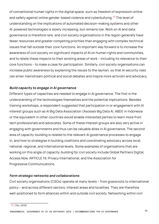of conventional human rights in the digital space, such as freedom of expression online and safety against online gender-based violence and cyberbullying.<sup>73</sup> The level of understanding on the implications of automated decision-making systems and other AI-powered technologies is slowly increasing, but remains low. Work on AI and data governance is therefore rare, and civil society organisations in the region generally have fewer resources and greater competing priorities than engaging with complex technical issues that fall outside their core functions. An important way forward is to increase the awareness of civil society on significant impacts of AI on human rights and communities, and to relate these impacts to their existing areas of work – including its relevance to their core functions – to make a case for participation. Similarly, civil society organisations can increase public awareness by explaining the issues to the layman, so that AI security risks can enter mainstream political and social debates and inspire more activism and advocacy.

## **Build capacity to engage in AI governance**

Different types of capacities are needed to engage in AI governance. The first is the understanding of the technologies themselves and the potential implications. Besides training workshops, a respondent suggested that participation in or engagement with AI interest groups such as AI Big Data Association (Asosiasi Big Data AI, ABDI) in Indonesia or the equivalent in other countries would enable interested parties to learn more from tech professionals and advocates. Some of these interest groups are also very active in engaging with governments and thus can be valuable allies in AI governance. The second area of capacity-building is related to the relevant AI governance processes to engage in, and how to strategise in building coalitions and coordinating advocacy across local, national, regional, and international levels. Some examples of organisations that are working on this angle of capacity-building for civil society include Global Partners Digital, Access Now, ARTICLE 19, Privacy International, and the Association for Progressive Communications.

## **Form strategic networks and collaborations**

Civil society organisations (CSOs) operate at many levels – from grassroots to international policy – and across different sectors, interest areas and localities. They are therefore well-positioned to form alliances within and outside civil society. Networking within civil

<sup>73 (</sup>Tan, 2019)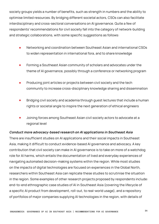society groups yields a number of benefits, such as strength in numbers and the ability to optimise limited resources. By bridging different societal actors, CSOs can also facilitate interdisciplinary and cross-sectoral conversations on AI governance. Quite a few of respondents' recommendations for civil society fall into the category of network-building and strategic collaborations, with some specific suggestions as follows:

- Networking and coordination between Southeast Asian and international CSOs to widen representation in international fora, and to share knowledge
- Forming a Southeast Asian community of scholars and advocates under the theme of AI governance, possibly through a conference or networking program
- Producing joint articles or projects between civil society and the tech community to increase cross-disciplinary knowledge sharing and dissemination
- Bridging civil society and academia through guest lectures that include a human rights or societal angle to inspire the next generation of ethical engineers
- Joining forces among Southeast Asian civil society actors to advocate at a regional level

## **Conduct more advocacy-based research on AI applications in Southeast Asia**

There are insufficient studies on AI applications and their social impacts in Southeast Asia, making it difficult to conduct evidence-based AI governance and advocacy. A key contribution that civil society can make in AI governance is to take on more of a watchdog role for AI harms, which entails the documentation of lived and everyday experiences of navigating automated decision-making systems within the region. While most studies on the impacts of digital technologies are focused on experiences in the Global North, researchers within Southeast Asia can replicate these studies to scrutinise the situation in the region. Some examples of other research projects proposed by respondents include: end-to-end ethnographic case studies of AI in Southeast Asia (covering the lifecycle of a specific AI product from development, roll-out, to real-world usage), and a repository of portfolios of major companies supplying AI technologies in the region, with details of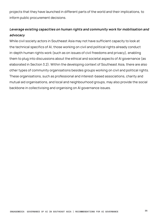projects that they have launched in different parts of the world and their implications, to inform public procurement decisions.

## **Leverage existing capacities on human rights and community work for mobilisation and advocacy**

While civil society actors in Southeast Asia may not have sufficient capacity to look at the technical specifics of AI, those working on civil and political rights already conduct in-depth human rights work (such as on issues of civil freedoms and privacy), enabling them to plug into discussions about the ethical and societal aspects of AI governance (as elaborated in Section 3.2). Within the developing context of Southeast Asia, there are also other types of community organisations besides groups working on civil and political rights. These organisations, such as professional and interest-based associations, charity and mutual aid organisations, and local and neighbourhood groups, may also provide the social backbone in collectivising and organising on AI governance issues.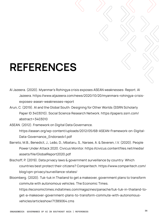## **REFERENCES**

- Al Jazeera. (2020). Myanmar's Rohingya crisis exposes ASEAN weaknesses: Report. Al Jazeera. https://www.aljazeera.com/news/2020/10/20/myanmars-rohingya-crisisexposes-asean-weaknesses-report
- Arun, C. (2019). AI and the Global South: Designing for Other Worlds (SSRN Scholarly Paper ID 3403010). Social Science Research Network. https://papers.ssrn.com/ abstract=3403010
- ASEAN. (2012). Framework on Digital Data Governance. https://asean.org/wp-content/uploads/2012/05/6B-ASEAN-Framework-on-Digital-Data-Governance\_Endorsedv1.pdf
- Barreto, M.B., Benedict, J., Leão, D., Mbataru, S., Narsee, A. & Severen, I.V. (2020). People Power Under Attack 2020. Civicus Monitor. https://civicus.contentfiles.net/media/ assets/file/GlobalReport2020.pdf
- Bischoff, P. (2019). Data privacy laws & government surveillance by country: Which countries best protect their citizens? Comparitech. https://www.comparitech.com/ blog/vpn-privacy/surveillance-states/
- Bloomberg. (2020). Tuk-tuk in Thailand to get a makeover, government plans to transform commute with autonomous vehicles. The Economic Times. https://economictimes.indiatimes.com/magazines/panache/tuk-tuk-in-thailand-toget-a-makeover-government-plans-to-transform-commute-with-autonomousvehicles/articleshow/71389064.cms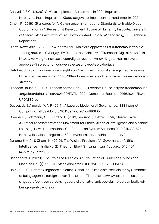Canivel, R.S.C. (2020). Gov't to implement AI road map in 2021. Inquirer.net. https://business.inquirer.net/309048/govt-to-implement-ai-road-map-in-2021

- Cihon, P. (2019). Standards for AI Governance: International Standards to Enable Global Coordination in AI Research & Development. Future of Humanity Institute, University of Oxford. https://www.fhi.ox.ac.uk/wp-content/uploads/Standards\_-FHI-Technical-Report.pdf
- Digital News Asia. (2020). Now it gets real Malaysia approves first autonomous vehicle testing routes in Cyberjaya by Futurise and Ministry of Transport. Digital News Asia. https://www.digitalnewsasia.com/digital-economy/now-it-gets-real-malaysiaapproves-first-autonomous-vehicle-testing-routes-cyberjaya
- Fletcher, S. (2020). Indonesia sets sights on AI with new national strategy. TechWire Asia. https://techwireasia.com/2020/08/indonesia-sets-sights-on-ai-with-new-nationalstrategy
- Freedom House. (20201). Freedom on the Net 2021. Freedom House. https://freedomhouse .org/sites/default/files/2021-09/FOTN\_2021\_Complete\_Booklet\_09162021\_FINAL\_ UPDATED.pdf
- Gasser, U., & Almeida, V. A. F. (2017). A Layered Model for AI Governance. IEEE Internet Computing. https://doi.org/10.1109/MIC.2017.4180835
- Greene, D., Hoffmann, A. L., & Stark, L. (2019, January 8). Better, Nicer, Clearer, Fairer: A Critical Assessment of the Movement for Ethical Artificial Intelligence and Machine Learning. Hawaii International Conference on System Sciences 2019 (HICSS-52). https://aisel.aisnet.org/hicss-52/dsm/critical\_and\_ethical\_studies/2
- Gurumurthy, A., & Chami, N. (2019). The Wicked Problem of AI Governance (Artificial Intelligence in India No. 2). Friedrich Ebert Stiftung. https://doi.org/10.13140/ RG.2.2.14753.22886
- Hagendorff, T. (2020). The Ethics of AI Ethics: An Evaluation of Guidelines. Minds and Machines, 30(1), 99–120. https://doi.org/10.1007/s11023-020-09517-8
- Ho, G. (2020). Retired Singapore diplomat Bilahari Kausikan dismisses claims by Cambodia of being agent to foreign power. The Straits Times. https://www.straitstimes.com/ singapore/politics/retired-singapore-diplomat-dismisses-claims-by-cambodia-ofbeing-agent-to-foreign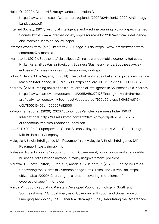HolonIQ. (2020). Global AI Strategy Landscape. HolonIQ.

https://www.holoniq.com/wp-content/uploads/2020/02/HolonIQ-2020-AI-Strategy-Landscape.pdf

- Internet Society. (2017). Artificial Intelligence and Machine Learning: Policy Paper. Internet Society. https://www.internetsociety.org/resources/doc/2017/artificial-intelligenceand-machine-learning-policy-paper/
- Internet World Stats. (n.d.). Internet 2021 Usage in Asia. https://www.internetworldstats. com/stats3.htm#asia.
- Iwamoto, K. (2019). Southeast Asia eclipses China as world's mobile economy hot spot. Nikkei Asia. https://asia.nikkei.com/Business/Business-trends/Southeast-Asiaeclipses-China-as-world-s-mobile-economy-hot-spot.
- Jobin, A., Ienca, M., & Vayena, E. (2019). The global landscape of AI ethics guidelines. Nature Machine Intelligence, 1(9), 389–399. https://doi.org/10.1038/s42256-019-0088-2
- Kearney. (2020). Racing toward the future: artificial intelligence in Southeast Asia. Kearney. https://www.kearney.com/documents/20152/50272176/Racing+toward+the+future\_ artificial+intelligence+in+Southeast+Updated.pdf/679e501c-aae8-0483-e016 d6b780071540?t=1602067482000
- KPMG International. (2020). 2020 Autonomous Vehicles Readiness Index. KPMG International. https://assets.kpmg/content/dam/kpmg/xx/pdf/2020/07/2020 autonomous-vehicles-readiness-index.pdf
- Lee, K.-F. (2018). AI Superpowers: China, Silicon Valley, and the New World Order. Houghton Mifflin Harcourt Company.
- Malaysia Artificial Intelligence (AI) Roadmap (n.d.) Malaysia Artificial Intelligence (AI) Roadmap. https://airmap.my/
- Malaysia Digital Economy Corporation (n.d.). Government, public policy, and sustainable business. https://mdec.my/about-malaysia/government-policies/
- Marczak, B., Scott-Railton, J., Rao, S.P., Anstis, S. & Deibert, R. (2020). Running in Circles: Uncovering the Clients of Cyberespionage Firm Circles. The Citizen Lab. https:// citizenlab.ca/2020/12/running-in-circles-uncovering-the-clients-ofcyberespionage-firm-circles/
- Marda, V. (2020). Regulating Privately Developed Public Technology in South and Southeast Asia: A Critical Analysis of Governance Through and Governance of Emerging Technology. In G. Elsner & A. Natarajan (Eds.), Regulating the Cyberspace: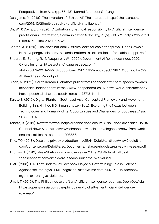Perspectives from Asia (pp. 33–48). Konrad Adenauer Stiftung.

- Ochigame, R. (2019). The Invention of "Ethical AI". The Intercept. https://theintercept. com/2019/12/20/mit-ethical-ai-artificial-intelligence/
- Orr, W., & Davis, J. L. (2020). Attributions of ethical responsibility by Artificial Intelligence practitioners. Information, Communication & Society, 23(5), 719–735. https://doi.org/1 0.1080/1369118X.2020.1713842
- Sharon, A. (2020). Thailand's national AI ethics looks for cabinet approval. Open GovAsia. https://opengovasia.com/thailands-national-ai-ethics-looks-for-cabinet-approval/
- Shearer, E., Stirling, R., & Pasquarelli, W. (2020). Government AI Readiness Index 2020. Oxford Insights. https://static1.squarespace.com/ static/58b2e92c1e5b6c828058484e/t/5f7747f29ca3c20ecb598f7c/1601653137399/ AI+Readiness+Report.pdf
- Singh, N. (2021). South Korean AI chatbot pulled from Facebook after hate speech towards minorities. Independent. https://www.independent.co.uk/news/world/asia/facebookhate-speech-ai-chatbot-south-korea-b1787181.html
- Tan, J.-E. (2019). Digital Rights in Southeast Asia: Conceptual Framework and Movement Building. In Y. H. Khoo & D. Simanjundtak (Eds.), Exploring the Nexus between Technologies and Human Rights: Opportunities and Challenges for Southeast Asia. SHAPE-SEA.
- Tanoto, B. (2019). New framework helps organisations ensure AI solutions are ethical: IMDA. Channel News Asia. https://www.channelnewsasia.com/singapore/new-frameworkensures-ethical-ai-solutions-908656
- Thio, T.G. (2018). Data and privacy protection in ASEAN. Deloitte. https://www2.deloitte. com/content/dam/Deloitte/sg/Documents/risk/sea-risk-data-privacy-in-asean.pdf
- Thomas, J. (2019). Are ASEAN's unicorns overvalued? The ASEAN Post. https:// theaseanpost.com/article/are-aseans-unicorns-overvalued
- TIME. (2018). U.N. Fact Finders Say Facebook Played a 'Determining' Role in Violence Against the Rohingya. TIME Magazine. https://time.com/5197039/un-facebookmyanmar-rohingya-violence/
- Umali, T. (2019). The Philippines to draft an Artificial Intelligence roadmap. Open GovAsia. https://opengovasia.com/the-philippines-to-draft-an-artificial-intelligenceroadmap/